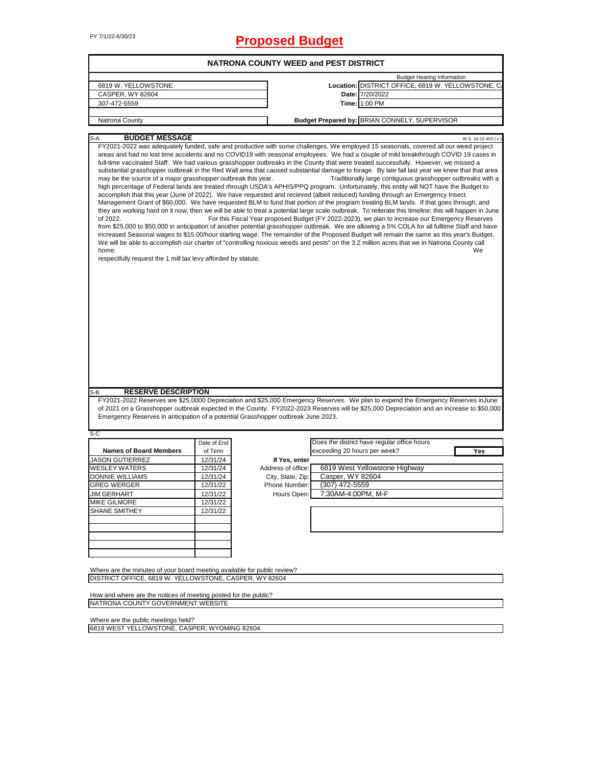# FY 7/1/22-6/30/23 **Proposed Budget**

| 6819 W. YELLOWSTONE<br>CASPER, WY 82604                                                                                                                             |             |                    | <b>NATRONA COUNTY WEED and PEST DISTRICT</b>                                                                                                                                                                                                                                                                                                                                                                                                                                                                                                                                                                                                                                                                                                                                                                                                                                                                                                                                                                                                                                                                                                                                                                                                                                                                                                                                                                                                                                                                                                                                                                                |
|---------------------------------------------------------------------------------------------------------------------------------------------------------------------|-------------|--------------------|-----------------------------------------------------------------------------------------------------------------------------------------------------------------------------------------------------------------------------------------------------------------------------------------------------------------------------------------------------------------------------------------------------------------------------------------------------------------------------------------------------------------------------------------------------------------------------------------------------------------------------------------------------------------------------------------------------------------------------------------------------------------------------------------------------------------------------------------------------------------------------------------------------------------------------------------------------------------------------------------------------------------------------------------------------------------------------------------------------------------------------------------------------------------------------------------------------------------------------------------------------------------------------------------------------------------------------------------------------------------------------------------------------------------------------------------------------------------------------------------------------------------------------------------------------------------------------------------------------------------------------|
|                                                                                                                                                                     |             |                    | <b>Budget Hearing Information</b>                                                                                                                                                                                                                                                                                                                                                                                                                                                                                                                                                                                                                                                                                                                                                                                                                                                                                                                                                                                                                                                                                                                                                                                                                                                                                                                                                                                                                                                                                                                                                                                           |
|                                                                                                                                                                     |             |                    | Location: DISTRICT OFFICE, 6819 W. YELLOWSTONE, C.                                                                                                                                                                                                                                                                                                                                                                                                                                                                                                                                                                                                                                                                                                                                                                                                                                                                                                                                                                                                                                                                                                                                                                                                                                                                                                                                                                                                                                                                                                                                                                          |
|                                                                                                                                                                     |             |                    | Date: 7/20/2022                                                                                                                                                                                                                                                                                                                                                                                                                                                                                                                                                                                                                                                                                                                                                                                                                                                                                                                                                                                                                                                                                                                                                                                                                                                                                                                                                                                                                                                                                                                                                                                                             |
| 307-472-5559                                                                                                                                                        |             |                    | Time: 1:00 PM                                                                                                                                                                                                                                                                                                                                                                                                                                                                                                                                                                                                                                                                                                                                                                                                                                                                                                                                                                                                                                                                                                                                                                                                                                                                                                                                                                                                                                                                                                                                                                                                               |
|                                                                                                                                                                     |             |                    |                                                                                                                                                                                                                                                                                                                                                                                                                                                                                                                                                                                                                                                                                                                                                                                                                                                                                                                                                                                                                                                                                                                                                                                                                                                                                                                                                                                                                                                                                                                                                                                                                             |
| Natrona County                                                                                                                                                      |             |                    | Budget Prepared by: BRIAN CONNELY, SUPERVISOR                                                                                                                                                                                                                                                                                                                                                                                                                                                                                                                                                                                                                                                                                                                                                                                                                                                                                                                                                                                                                                                                                                                                                                                                                                                                                                                                                                                                                                                                                                                                                                               |
| <b>BUDGET MESSAGE</b><br>S-A                                                                                                                                        |             |                    | W.S. 16-12-403 (c)<br>FY2021-2022 was adequately funded, safe and productive with some challenges. We employed 15 seasonals, covered all our weed project                                                                                                                                                                                                                                                                                                                                                                                                                                                                                                                                                                                                                                                                                                                                                                                                                                                                                                                                                                                                                                                                                                                                                                                                                                                                                                                                                                                                                                                                   |
| may be the source of a major grasshopper outbreak this year.<br>of 2022.<br>home.<br>respectfully request the 1 mill tax levy afforded by statute.                  |             |                    | areas and had no lost time accidents and no COVID19 with seasonal employees. We had a couple of mild breakthrough COVID 19 cases in<br>full-time vaccinated Staff. We had various grasshopper outbreaks in the County that were treated successfully. However, we missed a<br>substantial grasshopper outbreak in the Red Wall area that caused substantial damage to forage. By late fall last year we knew that that area<br>Traditionally large contiguous grasshopper outbreaks with a<br>high percentage of Federal lands are treated rhrough USDA's APHIS/PPQ program. Unfortunately, this entity will NOT have the Budget to<br>accomplish that this year (June of 2022). We have requested and recieved (albeit reduced) funding through an Emergency Insect<br>Management Grant of \$60,000. We have requested BLM to fund that portion of the program treating BLM lands. If that goes through, and<br>they are working hard on it now, then we will be able to treat a potential large scale outbreak. To reiterate this timeline; this will happen in June<br>For this Fiscal Year proposed Budget (FY 2022-2023), we plan to increase our Emergency Reserves<br>from \$25,000 to \$50,000 in anticipation of another potential grasshopper outbreak. We are allowing a 5% COLA for all fulltime Staff and have<br>increased Seasonal wages to \$15.00/hour starting wage. The remainder of the Proposed Budget will remain the same as this year's Budget.<br>We will be able to accomplish our charter of "controlling noxious weeds and pests" on the 3.2 million acres that we in Natrona County call<br>We |
|                                                                                                                                                                     |             |                    |                                                                                                                                                                                                                                                                                                                                                                                                                                                                                                                                                                                                                                                                                                                                                                                                                                                                                                                                                                                                                                                                                                                                                                                                                                                                                                                                                                                                                                                                                                                                                                                                                             |
| <b>RESERVE DESCRIPTION</b><br>S-B                                                                                                                                   |             |                    |                                                                                                                                                                                                                                                                                                                                                                                                                                                                                                                                                                                                                                                                                                                                                                                                                                                                                                                                                                                                                                                                                                                                                                                                                                                                                                                                                                                                                                                                                                                                                                                                                             |
| Emergency Reserves in anticipation of a potential Grasshopper outbreak June 2023.                                                                                   |             |                    | FY2021-2022 Reserves are \$25,0000 Depreciation and \$25,000 Emergency Reserves. We plan to expend the Emergency Reserves inJune<br>of 2021 on a Grasshopper outbreak expected in the County. FY2022-2023 Reserves will be \$25,000 Depreciation and an increase to \$50,000                                                                                                                                                                                                                                                                                                                                                                                                                                                                                                                                                                                                                                                                                                                                                                                                                                                                                                                                                                                                                                                                                                                                                                                                                                                                                                                                                |
|                                                                                                                                                                     |             |                    |                                                                                                                                                                                                                                                                                                                                                                                                                                                                                                                                                                                                                                                                                                                                                                                                                                                                                                                                                                                                                                                                                                                                                                                                                                                                                                                                                                                                                                                                                                                                                                                                                             |
|                                                                                                                                                                     | Date of End |                    | Does the district have regular office hours                                                                                                                                                                                                                                                                                                                                                                                                                                                                                                                                                                                                                                                                                                                                                                                                                                                                                                                                                                                                                                                                                                                                                                                                                                                                                                                                                                                                                                                                                                                                                                                 |
| <b>Names of Board Members</b>                                                                                                                                       | of Term     |                    | exceeding 20 hours per week?<br>Yes                                                                                                                                                                                                                                                                                                                                                                                                                                                                                                                                                                                                                                                                                                                                                                                                                                                                                                                                                                                                                                                                                                                                                                                                                                                                                                                                                                                                                                                                                                                                                                                         |
|                                                                                                                                                                     | 12/31/24    | If Yes, enter      |                                                                                                                                                                                                                                                                                                                                                                                                                                                                                                                                                                                                                                                                                                                                                                                                                                                                                                                                                                                                                                                                                                                                                                                                                                                                                                                                                                                                                                                                                                                                                                                                                             |
|                                                                                                                                                                     | 12/31/24    | Address of office: | 6819 West Yellowstone Highway                                                                                                                                                                                                                                                                                                                                                                                                                                                                                                                                                                                                                                                                                                                                                                                                                                                                                                                                                                                                                                                                                                                                                                                                                                                                                                                                                                                                                                                                                                                                                                                               |
|                                                                                                                                                                     | 12/31/24    | City, State, Zip:  | Casper, WY 82604                                                                                                                                                                                                                                                                                                                                                                                                                                                                                                                                                                                                                                                                                                                                                                                                                                                                                                                                                                                                                                                                                                                                                                                                                                                                                                                                                                                                                                                                                                                                                                                                            |
|                                                                                                                                                                     | 12/31/22    | Phone Number:      | $(307)$ 472-5559                                                                                                                                                                                                                                                                                                                                                                                                                                                                                                                                                                                                                                                                                                                                                                                                                                                                                                                                                                                                                                                                                                                                                                                                                                                                                                                                                                                                                                                                                                                                                                                                            |
|                                                                                                                                                                     | 12/31/22    | Hours Open:        | 7:30AM-4:00PM, M-F                                                                                                                                                                                                                                                                                                                                                                                                                                                                                                                                                                                                                                                                                                                                                                                                                                                                                                                                                                                                                                                                                                                                                                                                                                                                                                                                                                                                                                                                                                                                                                                                          |
|                                                                                                                                                                     | 12/31/22    |                    |                                                                                                                                                                                                                                                                                                                                                                                                                                                                                                                                                                                                                                                                                                                                                                                                                                                                                                                                                                                                                                                                                                                                                                                                                                                                                                                                                                                                                                                                                                                                                                                                                             |
|                                                                                                                                                                     | 12/31/22    |                    |                                                                                                                                                                                                                                                                                                                                                                                                                                                                                                                                                                                                                                                                                                                                                                                                                                                                                                                                                                                                                                                                                                                                                                                                                                                                                                                                                                                                                                                                                                                                                                                                                             |
|                                                                                                                                                                     |             |                    |                                                                                                                                                                                                                                                                                                                                                                                                                                                                                                                                                                                                                                                                                                                                                                                                                                                                                                                                                                                                                                                                                                                                                                                                                                                                                                                                                                                                                                                                                                                                                                                                                             |
|                                                                                                                                                                     |             |                    |                                                                                                                                                                                                                                                                                                                                                                                                                                                                                                                                                                                                                                                                                                                                                                                                                                                                                                                                                                                                                                                                                                                                                                                                                                                                                                                                                                                                                                                                                                                                                                                                                             |
| S-C<br><b>JASON GUTIERREZ</b><br><b>WESLEY WATERS</b><br>DONNIE WILLIAMS<br><b>GREG WERGER</b><br><b>JIM GERHART</b><br><b>MIKE GILMORE</b><br><b>SHANE SMITHEY</b> |             |                    |                                                                                                                                                                                                                                                                                                                                                                                                                                                                                                                                                                                                                                                                                                                                                                                                                                                                                                                                                                                                                                                                                                                                                                                                                                                                                                                                                                                                                                                                                                                                                                                                                             |
|                                                                                                                                                                     |             |                    |                                                                                                                                                                                                                                                                                                                                                                                                                                                                                                                                                                                                                                                                                                                                                                                                                                                                                                                                                                                                                                                                                                                                                                                                                                                                                                                                                                                                                                                                                                                                                                                                                             |
|                                                                                                                                                                     |             |                    |                                                                                                                                                                                                                                                                                                                                                                                                                                                                                                                                                                                                                                                                                                                                                                                                                                                                                                                                                                                                                                                                                                                                                                                                                                                                                                                                                                                                                                                                                                                                                                                                                             |
|                                                                                                                                                                     |             |                    |                                                                                                                                                                                                                                                                                                                                                                                                                                                                                                                                                                                                                                                                                                                                                                                                                                                                                                                                                                                                                                                                                                                                                                                                                                                                                                                                                                                                                                                                                                                                                                                                                             |
| Where are the minutes of your board meeting available for public review?                                                                                            |             |                    |                                                                                                                                                                                                                                                                                                                                                                                                                                                                                                                                                                                                                                                                                                                                                                                                                                                                                                                                                                                                                                                                                                                                                                                                                                                                                                                                                                                                                                                                                                                                                                                                                             |
| DISTRICT OFFICE, 6819 W. YELLOWSTONE, CASPER, WY 82604                                                                                                              |             |                    |                                                                                                                                                                                                                                                                                                                                                                                                                                                                                                                                                                                                                                                                                                                                                                                                                                                                                                                                                                                                                                                                                                                                                                                                                                                                                                                                                                                                                                                                                                                                                                                                                             |

a l

Where are the public meetings held? 6819 WEST YELLOWSTONE, CASPER, WYOMING 82604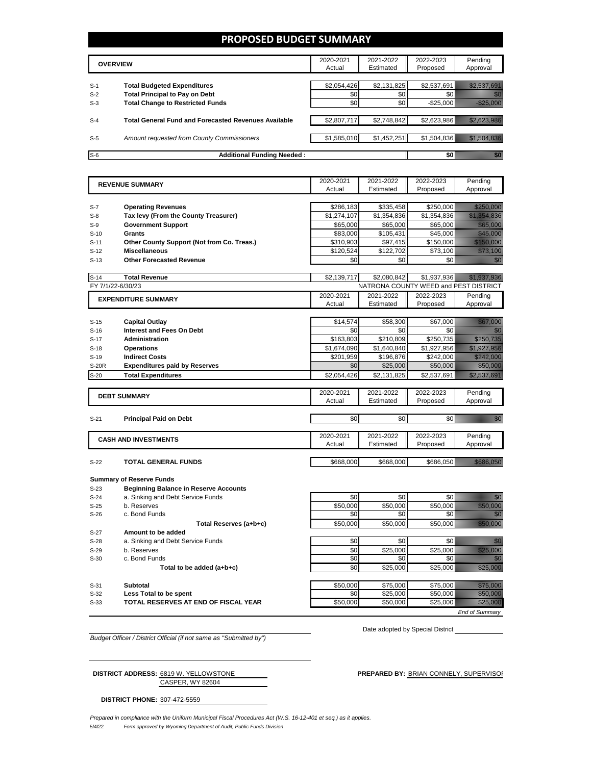### **PROPOSED BUDGET SUMMARY**

|       | <b>OVERVIEW</b>                                             | 2020-2021<br>Actual | 2021-2022<br>Estimated | 2022-2023<br>Proposed | Pending<br>Approval |
|-------|-------------------------------------------------------------|---------------------|------------------------|-----------------------|---------------------|
|       |                                                             |                     |                        |                       |                     |
| $S-1$ | <b>Total Budgeted Expenditures</b>                          | \$2,054,426         | \$2,131,825            | \$2,537,691           |                     |
| $S-2$ | <b>Total Principal to Pay on Debt</b>                       | \$0                 | \$0                    |                       |                     |
| $S-3$ | <b>Total Change to Restricted Funds</b>                     | \$0                 | \$0                    | $-$ \$25,000          |                     |
|       |                                                             |                     |                        |                       |                     |
| $S-4$ | <b>Total General Fund and Forecasted Revenues Available</b> | \$2,807,717         | \$2,748,842            | \$2.623.986           |                     |
|       |                                                             |                     |                        |                       |                     |
| $S-5$ | Amount requested from County Commissioners                  | \$1,585,010         | \$1,452,251            | \$1,504,836           |                     |
|       |                                                             |                     |                        |                       |                     |
| $S-6$ | <b>Additional Funding Needed:</b>                           |                     |                        |                       |                     |

|                   | <b>REVENUE SUMMARY</b>                       | 2020-2021   | 2021-2022   | 2022-2023                             | Pending                                                                                                                                                                                                                          |
|-------------------|----------------------------------------------|-------------|-------------|---------------------------------------|----------------------------------------------------------------------------------------------------------------------------------------------------------------------------------------------------------------------------------|
|                   |                                              | Actual      | Estimated   | Proposed                              | Approval                                                                                                                                                                                                                         |
|                   |                                              |             |             |                                       |                                                                                                                                                                                                                                  |
| $S-7$             | <b>Operating Revenues</b>                    | \$286,183   | \$335,458   | \$250,000                             | <u>timologia e</u>                                                                                                                                                                                                               |
| $S-8$             | Tax levy (From the County Treasurer)         | \$1.274.107 | \$1.354.836 | \$1.354.836                           | <u> Martin Martin Sa</u>                                                                                                                                                                                                         |
| $S-9$             | <b>Government Support</b>                    | \$65,000    | \$65,000    | \$65,000                              | <u> Hillian Sta</u>                                                                                                                                                                                                              |
| $S-10$            | <b>Grants</b>                                | \$83,000    | \$105,431   | \$45,000                              | <u> Hillian Sta</u>                                                                                                                                                                                                              |
| $S-11$            | Other County Support (Not from Co. Treas.)   | \$310,903   | \$97,415    | \$150,000                             | <u> Marije (1999)</u>                                                                                                                                                                                                            |
| $S-12$            | <b>Miscellaneous</b>                         | \$120,524   | \$122,702   | \$73,100                              |                                                                                                                                                                                                                                  |
| $S-13$            | <b>Other Forecasted Revenue</b>              | \$0         | \$0         | \$0                                   | en de la familie de la familie de la familie de la familie de la familie de la familie de la familie de la fam<br>De la familie de la familie de la familie de la familie de la familie de la familie de la familie de la famili |
|                   |                                              |             |             |                                       |                                                                                                                                                                                                                                  |
| $S-14$            | <b>Total Revenue</b>                         | \$2,139,717 | \$2,080,842 | \$1,937,936                           | <u> Hillian Sara</u>                                                                                                                                                                                                             |
| FY 7/1/22-6/30/23 |                                              |             |             | NATRONA COUNTY WEED and PEST DISTRICT |                                                                                                                                                                                                                                  |
|                   | <b>EXPENDITURE SUMMARY</b>                   | 2020-2021   | 2021-2022   | 2022-2023                             | Pending                                                                                                                                                                                                                          |
|                   |                                              | Actual      | Estimated   | Proposed                              | Approval                                                                                                                                                                                                                         |
|                   |                                              |             |             |                                       |                                                                                                                                                                                                                                  |
| $S-15$            | <b>Capital Outlay</b>                        | \$14,574    | \$58,300    | \$67,000                              | <u> Hillisoon</u>                                                                                                                                                                                                                |
| $S-16$            | <b>Interest and Fees On Debt</b>             | \$0         | \$0         | \$0                                   | 20                                                                                                                                                                                                                               |
| $S-17$            | <b>Administration</b>                        | \$163,803   | \$210,809   | \$250,735                             | <u>stansilining</u>                                                                                                                                                                                                              |
| $S-18$            | <b>Operations</b>                            | \$1,674,090 | \$1,640,840 | \$1,927,956                           |                                                                                                                                                                                                                                  |
| $S-19$            | <b>Indirect Costs</b>                        | \$201.959   | \$196,876   | \$242,000                             | <u>Timoriano e c</u>                                                                                                                                                                                                             |
| S-20R             | <b>Expenditures paid by Reserves</b>         | \$0         | \$25,000    | \$50,000                              | <u> Historical I</u>                                                                                                                                                                                                             |
| $S-20$            | <b>Total Expenditures</b>                    | \$2,054,426 | \$2,131,825 | \$2,537,691                           | <u> Hallingar í Heimritti í Heimritti í Heimritti í Heimritti í Heimritti í Heimritti í Heimritti í Heimritti í H</u>                                                                                                            |
|                   |                                              |             |             |                                       |                                                                                                                                                                                                                                  |
|                   | <b>DEBT SUMMARY</b>                          | 2020-2021   | 2021-2022   | 2022-2023                             | Pending                                                                                                                                                                                                                          |
|                   |                                              | Actual      | Estimated   | Proposed                              | Approval                                                                                                                                                                                                                         |
|                   |                                              |             |             |                                       |                                                                                                                                                                                                                                  |
| $S-21$            | <b>Principal Paid on Debt</b>                | \$0         | \$0         | \$0 l                                 | an dhe                                                                                                                                                                                                                           |
|                   |                                              |             |             |                                       |                                                                                                                                                                                                                                  |
|                   | <b>CASH AND INVESTMENTS</b>                  | 2020-2021   | 2021-2022   | 2022-2023                             | Pending                                                                                                                                                                                                                          |
|                   |                                              | Actual      | Estimated   | Proposed                              | Approval                                                                                                                                                                                                                         |
|                   |                                              |             |             |                                       |                                                                                                                                                                                                                                  |
| $S-22$            | <b>TOTAL GENERAL FUNDS</b>                   | \$668,000   | \$668.000   | \$686.050                             |                                                                                                                                                                                                                                  |
|                   |                                              |             |             |                                       |                                                                                                                                                                                                                                  |
|                   | <b>Summary of Reserve Funds</b>              |             |             |                                       |                                                                                                                                                                                                                                  |
| $S-23$            | <b>Beginning Balance in Reserve Accounts</b> |             |             |                                       |                                                                                                                                                                                                                                  |
| $S-24$            | a. Sinking and Debt Service Funds            | \$0         | \$0         | \$0                                   | e di T                                                                                                                                                                                                                           |
| $S-25$            | b. Reserves                                  | \$50,000    | \$50,000    | \$50,000                              | a a shekarar 2009<br>Marejeo                                                                                                                                                                                                     |
| $S-26$            | c. Bond Funds                                | \$0         | \$0         | \$0                                   |                                                                                                                                                                                                                                  |
|                   | Total Reserves (a+b+c)                       | \$50,000    | \$50,000    | \$50,000                              | <u>startin e</u>                                                                                                                                                                                                                 |
| $S-27$            | Amount to be added                           |             |             |                                       |                                                                                                                                                                                                                                  |
| $S-28$            | a. Sinking and Debt Service Funds            | \$0         | \$0         | \$0                                   | M.                                                                                                                                                                                                                               |
| $S-29$            | b. Reserves                                  | \$0         | \$25,000    | \$25.000                              | <u>mana</u>                                                                                                                                                                                                                      |
| $S-30$            | c. Bond Funds                                | \$0         | \$0         | \$0                                   | en de la familie de la familie de la familie de la familie de la familie de la familie de la familie de la fam<br>De la familie de la familie de la familie de la familie de la familie de la familie de la familie de la famili |
|                   |                                              | \$0         | \$25,000    | \$25,000                              | <u>Maria Sa</u>                                                                                                                                                                                                                  |
|                   | Total to be added (a+b+c)                    |             |             |                                       |                                                                                                                                                                                                                                  |
|                   |                                              |             |             |                                       |                                                                                                                                                                                                                                  |
| $S-31$            | <b>Subtotal</b>                              | \$50,000    | \$75,000    | \$75,000                              | <u>Maria San</u>                                                                                                                                                                                                                 |
| $S-32$            | Less Total to be spent                       | \$0         | \$25,000    | \$50,000                              | <u>Till för star</u>                                                                                                                                                                                                             |
| $S-33$            | TOTAL RESERVES AT END OF FISCAL YEAR         | \$50,000    | \$50.000    | \$25,000                              | <u>Markoa (</u>                                                                                                                                                                                                                  |

Date adopted by Special District \_\_\_\_

*Budget Officer / District Official (if not same as "Submitted by")*

CASPER, WY 82604 **DISTRICT ADDRESS:** 6819 W. YELLOWSTONE **PREPARED BY:** BRIAN CONNELY, SUPERVISOR

**DISTRICT PHONE:** 307-472-5559

5/4/22 *Form approved by Wyoming Department of Audit, Public Funds Division Prepared in compliance with the Uniform Municipal Fiscal Procedures Act (W.S. 16-12-401 et seq.) as it applies.*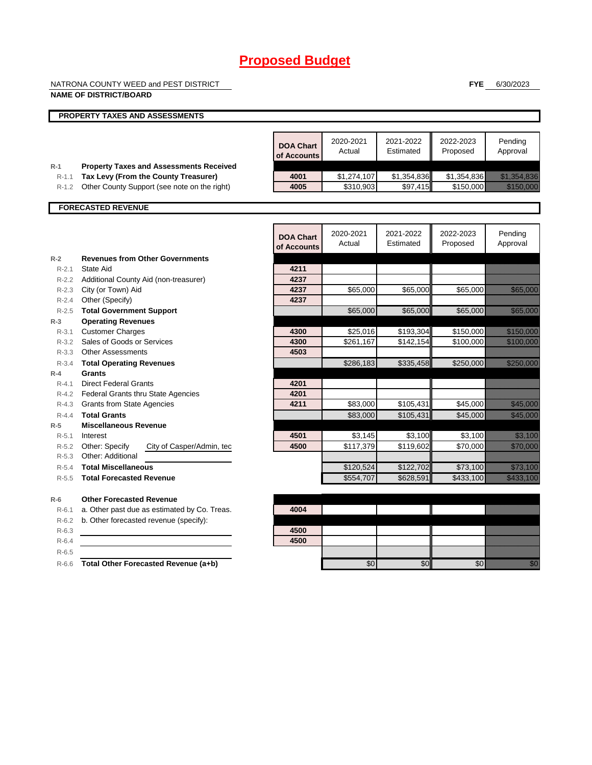NATRONA COUNTY WEED and PEST DISTRICT

#### **NAME OF DISTRICT/BOARD**

**FYE** 6/30/2023

|                    | <b>PROPERTY TAXES AND ASSESSMENTS</b>                                                |                                 |                          |                         |                          |                                                                                                                                                                                                                                  |
|--------------------|--------------------------------------------------------------------------------------|---------------------------------|--------------------------|-------------------------|--------------------------|----------------------------------------------------------------------------------------------------------------------------------------------------------------------------------------------------------------------------------|
|                    |                                                                                      |                                 |                          |                         |                          |                                                                                                                                                                                                                                  |
|                    |                                                                                      | <b>DOA Chart</b><br>of Accounts | 2020-2021<br>Actual      | 2021-2022<br>Estimated  | 2022-2023<br>Proposed    | Pending<br>Approval                                                                                                                                                                                                              |
| $R-1$              | <b>Property Taxes and Assessments Received</b>                                       |                                 |                          |                         |                          |                                                                                                                                                                                                                                  |
| $R-1.1$<br>$R-1.2$ | Tax Levy (From the County Treasurer)<br>Other County Support (see note on the right) | 4001<br>4005                    | \$1,274,107<br>\$310,903 | \$1,354,836<br>\$97,415 | \$1,354,836<br>\$150,000 | <u> Charles Constantinople Constantinople</u><br><u> Hillingen Sta</u>                                                                                                                                                           |
|                    |                                                                                      |                                 |                          |                         |                          |                                                                                                                                                                                                                                  |
|                    | <b>FORECASTED REVENUE</b>                                                            |                                 |                          |                         |                          |                                                                                                                                                                                                                                  |
|                    |                                                                                      | <b>DOA Chart</b><br>of Accounts | 2020-2021<br>Actual      | 2021-2022<br>Estimated  | 2022-2023<br>Proposed    | Pending<br>Approval                                                                                                                                                                                                              |
| $R-2$              | <b>Revenues from Other Governments</b>                                               |                                 |                          |                         |                          |                                                                                                                                                                                                                                  |
| $R - 2.1$          | State Aid                                                                            | 4211                            |                          |                         |                          |                                                                                                                                                                                                                                  |
|                    | R-2.2 Additional County Aid (non-treasurer)                                          | 4237                            |                          |                         |                          |                                                                                                                                                                                                                                  |
|                    | R-2.3 City (or Town) Aid                                                             | 4237                            | \$65,000                 | \$65,000                | \$65,000                 | <u> Harry College and</u>                                                                                                                                                                                                        |
| $R - 2.4$          | Other (Specify)                                                                      | 4237                            |                          |                         |                          |                                                                                                                                                                                                                                  |
|                    | R-2.5 Total Government Support                                                       |                                 | \$65,000                 | \$65,000                | \$65,000                 | <b>Katalunggal</b>                                                                                                                                                                                                               |
| $R-3$              | <b>Operating Revenues</b>                                                            |                                 |                          |                         |                          |                                                                                                                                                                                                                                  |
| $R - 3.1$          | <b>Customer Charges</b>                                                              | 4300                            | \$25,016                 | \$193,304               | \$150,000                | <u> Maria Maria I</u>                                                                                                                                                                                                            |
|                    | R-3.2 Sales of Goods or Services                                                     | 4300                            | \$261,167                | \$142,154               | \$100,000                |                                                                                                                                                                                                                                  |
|                    | R-3.3 Other Assessments                                                              | 4503                            |                          |                         |                          |                                                                                                                                                                                                                                  |
| $R - 3.4$          | <b>Total Operating Revenues</b>                                                      |                                 | \$286,183                | \$335,458               | \$250,000                | <u>elitek kontroll</u>                                                                                                                                                                                                           |
| $R-4$              | Grants                                                                               |                                 |                          |                         |                          |                                                                                                                                                                                                                                  |
| $R - 4.1$          | <b>Direct Federal Grants</b>                                                         | 4201                            |                          |                         |                          |                                                                                                                                                                                                                                  |
|                    | R-4.2 Federal Grants thru State Agencies                                             | 4201                            |                          |                         |                          |                                                                                                                                                                                                                                  |
|                    | R-4.3 Grants from State Agencies                                                     | 4211                            | \$83,000                 | \$105,431               | \$45,000                 | <u> Mariji (</u>                                                                                                                                                                                                                 |
| $R - 4.4$          | <b>Total Grants</b>                                                                  |                                 | \$83,000                 | \$105,431               | \$45,000                 | <u> Karl Barat (</u>                                                                                                                                                                                                             |
| $R-5$              | <b>Miscellaneous Revenue</b>                                                         |                                 |                          |                         |                          |                                                                                                                                                                                                                                  |
|                    | R-5.1 Interest                                                                       | 4501                            | \$3,145                  | \$3,100                 | \$3,100                  | <u>ti ka</u>                                                                                                                                                                                                                     |
|                    | R-5.2 Other: Specify<br>City of Casper/Admin, tec                                    | 4500                            | \$117,379                | \$119,602               | \$70.000                 | <u>eliteteko e</u>                                                                                                                                                                                                               |
|                    | R-5.3 Other: Additional                                                              |                                 |                          |                         |                          |                                                                                                                                                                                                                                  |
| $R-5.4$            | <b>Total Miscellaneous</b>                                                           |                                 | \$120,524                | \$122,702               | \$73,100                 | <u> Kalendari Serika Ba</u>                                                                                                                                                                                                      |
| $R - 5.5$          | <b>Total Forecasted Revenue</b>                                                      |                                 | \$554,707                | \$628,591               | \$433,100                | <u>ta kalendari k</u>                                                                                                                                                                                                            |
| $R-6$              | <b>Other Forecasted Revenue</b>                                                      |                                 |                          |                         |                          |                                                                                                                                                                                                                                  |
| $R-6.1$            | a. Other past due as estimated by Co. Treas.                                         | 4004                            |                          |                         |                          |                                                                                                                                                                                                                                  |
| $R-6.2$            | b. Other forecasted revenue (specify):                                               |                                 |                          |                         |                          |                                                                                                                                                                                                                                  |
| $R-6.3$            |                                                                                      | 4500                            |                          |                         |                          |                                                                                                                                                                                                                                  |
| $R-6.4$            |                                                                                      | 4500                            |                          |                         |                          |                                                                                                                                                                                                                                  |
| $R-6.5$            |                                                                                      |                                 |                          |                         |                          |                                                                                                                                                                                                                                  |
| $R-6.6$            | Total Other Forecasted Revenue (a+b)                                                 |                                 | \$0                      | \$0                     | \$0                      | en de la familie de la familie de la familie de la familie de la familie de la familie de la familie de la fam<br>Constitution de la familie de la familie de la familie de la familie de la familie de la familie de la familie |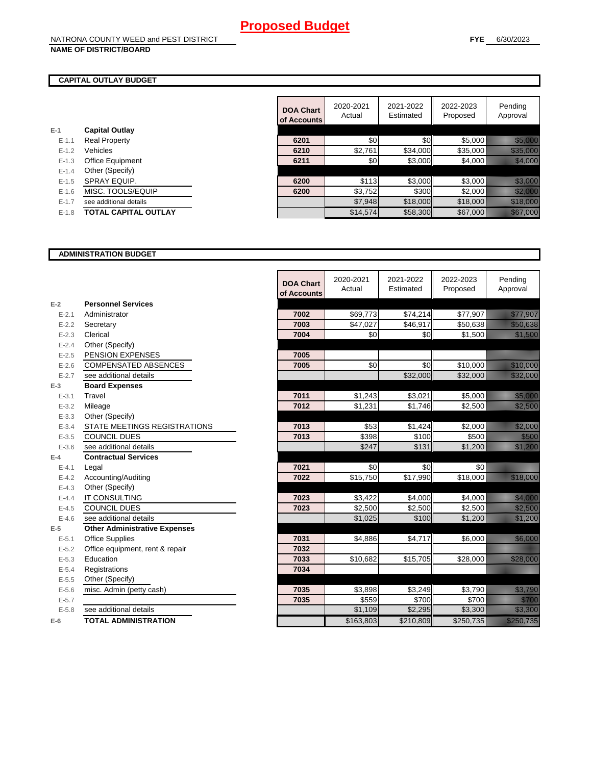### **CAPITAL OUTLAY BUDGET**

| $E-1$     | <b>Capital Outlay</b>       |
|-----------|-----------------------------|
| $E - 1.1$ | <b>Real Property</b>        |
| $F-12$    | Vehicles                    |
| $E - 1.3$ | <b>Office Equipment</b>     |
| $F-14$    | Other (Specify)             |
| $E - 1.5$ | SPRAY EQUIP.                |
| $F-16$    | MISC. TOOLS/EQUIP           |
| $F-17$    | see additional details      |
| $E-1.8$   | <b>TOTAL CAPITAL OUTLAY</b> |

|           |                             | <b>DOA Chart</b><br>of Accounts | 2020-2021<br>Actual | 2021-2022<br>Estimated | 2022-2023<br>Proposed | Pending<br>Approval                                                                                                                                                                                                              |
|-----------|-----------------------------|---------------------------------|---------------------|------------------------|-----------------------|----------------------------------------------------------------------------------------------------------------------------------------------------------------------------------------------------------------------------------|
|           | <b>Capital Outlay</b>       |                                 |                     |                        |                       |                                                                                                                                                                                                                                  |
| $E - 1.1$ | <b>Real Property</b>        | 6201                            | \$0                 | \$0                    | \$5,000               | <u> Karl Barat Sara</u>                                                                                                                                                                                                          |
| $E - 1.2$ | Vehicles                    | 6210                            | \$2,761             | \$34,000               | \$35,000              | <u> Karl Sara</u>                                                                                                                                                                                                                |
| $E - 1.3$ | <b>Office Equipment</b>     | 6211                            | \$0                 | \$3,000                | \$4,000               | <u> Hermann</u>                                                                                                                                                                                                                  |
| $E - 1.4$ | Other (Specify)             |                                 |                     |                        |                       |                                                                                                                                                                                                                                  |
| $E-1.5$   | SPRAY EQUIP.                | 6200                            | \$113               | \$3,000                | \$3,000               | a a an an t-Òirean                                                                                                                                                                                                               |
| $E - 1.6$ | MISC. TOOLS/EQUIP           | 6200                            | \$3,752             | \$300                  | \$2,000               | <u> Karl Sara</u>                                                                                                                                                                                                                |
| $E - 1.7$ | see additional details      |                                 | \$7,948             | \$18,000               | \$18,000              | a katalunggal sa katalunggal sa katalunggal sa katalunggal sa katalunggal sa katalunggal sa katalunggal sa kat<br>Katalunggal sa katalunggal sa katalunggal sa katalunggal sa katalunggal sa katalunggal sa katalunggal sa katal |
| $E-1.8$   | <b>TOTAL CAPITAL OUTLAY</b> |                                 | \$14,574            | \$58,300               | \$67,000              | <u> Karlin (</u>                                                                                                                                                                                                                 |
|           |                             |                                 |                     |                        |                       |                                                                                                                                                                                                                                  |

#### **ADMINISTRATION BUDGET**

|           |                                      | <b>DOA Chart</b><br>of Accounts | 2020-2021<br>Actual | 2021-2022<br>Estimated | 2022-2023<br>Proposed | Pending<br>Approval                                                                                                  |
|-----------|--------------------------------------|---------------------------------|---------------------|------------------------|-----------------------|----------------------------------------------------------------------------------------------------------------------|
| $E-2$     | <b>Personnel Services</b>            |                                 |                     |                        |                       |                                                                                                                      |
| $E - 2.1$ | Administrator                        | 7002                            | \$69,773            | \$74,214               | \$77,907              | <u>esta la seria della condita dell'internazionale di un strumento di un strumento di un strumento di un strumen</u> |
| $E - 2.2$ | Secretary                            | 7003                            | \$47,027            | \$46,917               | \$50,638              | <u>ti kalendari k</u>                                                                                                |
| $E - 2.3$ | Clerical                             | 7004                            | \$0                 | \$0                    | \$1,500               | <u> Kalèndher Ka</u>                                                                                                 |
| $E - 2.4$ | Other (Specify)                      |                                 |                     |                        |                       |                                                                                                                      |
| $E - 2.5$ | PENSION EXPENSES                     | 7005                            |                     |                        |                       |                                                                                                                      |
| $E - 2.6$ | <b>COMPENSATED ABSENCES</b>          | 7005                            | \$0                 | \$0                    | \$10,000              | <u>ti ka kusaa kuningan ka</u>                                                                                       |
| $E - 2.7$ | see additional details               |                                 |                     | \$32,000               | \$32,000              | <u> Kalendari Seria</u>                                                                                              |
| $E-3$     | <b>Board Expenses</b>                |                                 |                     |                        |                       |                                                                                                                      |
| $E - 3.1$ | Travel                               | 7011                            | \$1,243             | \$3,021                | \$5,000               | <u>tika kuning ka</u>                                                                                                |
| $E - 3.2$ | Mileage                              | 7012                            | \$1,231             | \$1,746                | \$2,500               | <u> Million Sta</u>                                                                                                  |
| $E - 3.3$ | Other (Specify)                      |                                 |                     |                        |                       |                                                                                                                      |
| $E - 3.4$ | STATE MEETINGS REGISTRATIONS         | 7013                            | \$53                | \$1,424                | \$2,000               | <u>till framförfattar i den störra störra sig störra störra sig störra sig störra sig störra sig störra sig stör</u> |
| $E - 3.5$ | <b>COUNCIL DUES</b>                  | 7013                            | \$398               | \$100                  | \$500                 | <u>tik k</u>                                                                                                         |
| $E - 3.6$ | see additional details               |                                 | \$247               | \$131                  | \$1,200               | <u>tik ka</u>                                                                                                        |
| $E-4$     | <b>Contractual Services</b>          |                                 |                     |                        |                       |                                                                                                                      |
| $E - 4.1$ | Legal                                | 7021                            | \$0                 | \$0                    | \$0                   |                                                                                                                      |
| $E - 4.2$ | Accounting/Auditing                  | 7022                            | \$15,750            | \$17,990               | \$18,000              | <u>ti ka</u>                                                                                                         |
| $E - 4.3$ | Other (Specify)                      |                                 |                     |                        |                       |                                                                                                                      |
| $E - 4.4$ | <b>IT CONSULTING</b>                 | 7023                            | \$3,422             | \$4,000                | \$4,000               | <u>till framförfattar och en sta</u>                                                                                 |
| $E - 4.5$ | <b>COUNCIL DUES</b>                  | 7023                            | \$2,500             | \$2,500                | \$2,500               | <u>tionalistik val</u>                                                                                               |
| $E-4.6$   | see additional details               |                                 | \$1,025             | \$100                  | \$1,200               | <u> Million Sta</u>                                                                                                  |
| $E-5$     | <b>Other Administrative Expenses</b> |                                 |                     |                        |                       |                                                                                                                      |
| $E - 5.1$ | <b>Office Supplies</b>               | 7031                            | \$4,886             | \$4,717                | \$6,000               | <u>tik ka</u>                                                                                                        |
| $E - 5.2$ | Office equipment, rent & repair      | 7032                            |                     |                        |                       |                                                                                                                      |
| $E - 5.3$ | Education                            | 7033                            | \$10,682            | \$15,705               | \$28,000              | <u>ti ali seria di seria di seria di seria di seria di seria di seria di seria di seria di seria di seria di se</u>  |
| $E - 5.4$ | Registrations                        | 7034                            |                     |                        |                       |                                                                                                                      |
| $E - 5.5$ | Other (Specify)                      |                                 |                     |                        |                       |                                                                                                                      |
| $E-5.6$   | misc. Admin (petty cash)             | 7035                            | \$3,898             | \$3,249                | \$3,790               | <u>tion and</u>                                                                                                      |
| $E - 5.7$ |                                      | 7035                            | \$559               | \$700                  | \$700                 | <u>till fram</u>                                                                                                     |
| $E - 5.8$ | see additional details               |                                 | \$1,109             | \$2,295                | \$3,300               | <u>till framförfall</u>                                                                                              |
| $E-6$     | <b>TOTAL ADMINISTRATION</b>          |                                 | \$163,803           | \$210.809              | \$250,735             | <u>estas ell</u>                                                                                                     |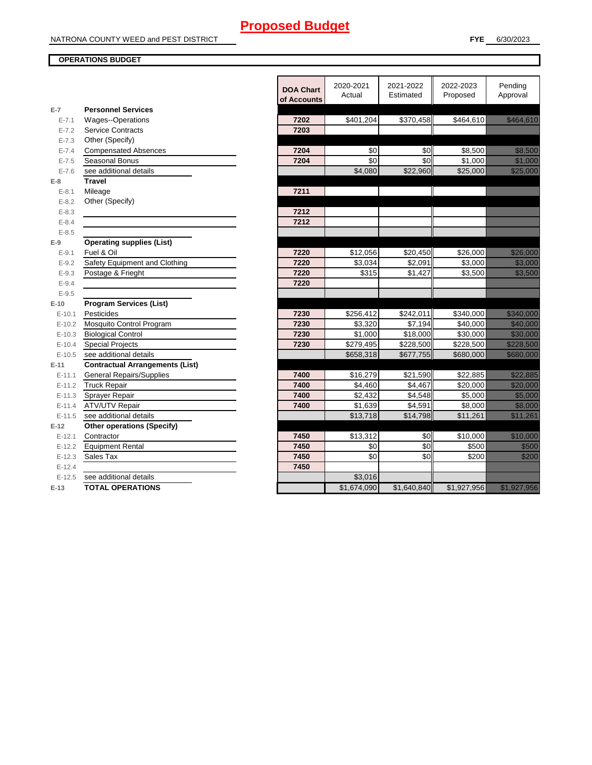### **OPERATIONS BUDGET**

| $E-7$      | <b>Personnel Services</b>              | <b>DOA Chart</b><br>of Accounts | 2020-2021<br>Actual | 2021-2022<br>Estimated | 2022-2023<br>Proposed | Pending<br>Approval                                                                                                                                                                                                              |
|------------|----------------------------------------|---------------------------------|---------------------|------------------------|-----------------------|----------------------------------------------------------------------------------------------------------------------------------------------------------------------------------------------------------------------------------|
| $E - 7.1$  | <b>Wages--Operations</b>               | 7202                            | \$401,204           | \$370,458              | \$464,610             | <u> Elizabeth Constantinople (</u>                                                                                                                                                                                               |
| $E - 7.2$  | <b>Service Contracts</b>               | 7203                            |                     |                        |                       |                                                                                                                                                                                                                                  |
| $E - 7.3$  | Other (Specify)                        |                                 |                     |                        |                       |                                                                                                                                                                                                                                  |
| $E - 7.4$  | <b>Compensated Absences</b>            | 7204                            | $\sqrt{6}$          | $\frac{6}{3}$          | \$8,500               | <u>ti ka</u>                                                                                                                                                                                                                     |
| $E - 7.5$  | Seasonal Bonus                         | 7204                            | \$0                 | \$0                    | \$1,000               | <u> Karlin Saraja</u>                                                                                                                                                                                                            |
| $E - 7.6$  | see additional details                 |                                 | \$4,080             | \$22,960               | \$25,000              | <u> Karl Sara</u>                                                                                                                                                                                                                |
| $E-8$      | <b>Travel</b>                          |                                 |                     |                        |                       |                                                                                                                                                                                                                                  |
| $E - 8.1$  | Mileage                                | 7211                            |                     |                        |                       |                                                                                                                                                                                                                                  |
| $E - 8.2$  | Other (Specify)                        |                                 |                     |                        |                       |                                                                                                                                                                                                                                  |
| $E - 8.3$  |                                        | 7212                            |                     |                        |                       |                                                                                                                                                                                                                                  |
| $E - 8.4$  |                                        | 7212                            |                     |                        |                       |                                                                                                                                                                                                                                  |
| $E - 8.5$  |                                        |                                 |                     |                        |                       |                                                                                                                                                                                                                                  |
| $E-9$      | <b>Operating supplies (List)</b>       |                                 |                     |                        |                       |                                                                                                                                                                                                                                  |
| $E - 9.1$  | Fuel & Oil                             | 7220                            | \$12,056            | \$20,450               | \$26,000              | <u> Harrison (</u>                                                                                                                                                                                                               |
| $E - 9.2$  | Safety Equipment and Clothing          | 7220                            | \$3,034             | \$2,091                | \$3,000               | <u> Timografi</u>                                                                                                                                                                                                                |
| $E - 9.3$  | Postage & Frieght                      | 7220                            | \$315               | \$1,427                | \$3,500               | <u>tionalisest</u>                                                                                                                                                                                                               |
| $E - 9.4$  |                                        | 7220                            |                     |                        |                       |                                                                                                                                                                                                                                  |
| $E - 9.5$  |                                        |                                 |                     |                        |                       |                                                                                                                                                                                                                                  |
| $E-10$     | <b>Program Services (List)</b>         |                                 |                     |                        |                       |                                                                                                                                                                                                                                  |
| $E-10.1$   | Pesticides                             | 7230                            | \$256,412           | \$242,011              | \$340,000             | <u> Elizabeth Conta</u>                                                                                                                                                                                                          |
| $E-10.2$   | Mosquito Control Program               | 7230                            | \$3,320             | \$7,194                | \$40,000              | a katika katika katika katika alikuwa na katika alikuwa na katika alikuwa na katika alikuwa na katika alikuwa<br>Marejeo                                                                                                         |
| $E-10.3$   | <b>Biological Control</b>              | 7230                            | \$1,000             | \$18,000               | \$30,000              | <u>ting and the second second</u>                                                                                                                                                                                                |
| $E-10.4$   | <b>Special Projects</b>                | 7230                            | \$279,495           | \$228,500              | \$228,500             | <u>elittik ko</u>                                                                                                                                                                                                                |
| $E-10.5$   | see additional details                 |                                 | \$658,318           | \$677,755              | \$680,000             | <u>este al constru</u>                                                                                                                                                                                                           |
| $E-11$     | <b>Contractual Arrangements (List)</b> |                                 |                     |                        |                       |                                                                                                                                                                                                                                  |
| $E - 11.1$ | <b>General Repairs/Supplies</b>        | 7400                            | \$16,279            | \$21,590               | \$22,885              |                                                                                                                                                                                                                                  |
| $E - 11.2$ | <b>Truck Repair</b>                    | 7400                            | \$4,460             | \$4,467                | \$20,000              | <u>till andre sta</u>                                                                                                                                                                                                            |
| $E-11.3$   | Sprayer Repair                         | 7400                            | \$2,432             | \$4,548                | \$5,000               | <u> Hillian Sa</u>                                                                                                                                                                                                               |
| $E-11.4$   | <b>ATV/UTV Repair</b>                  | 7400                            | \$1,639             | \$4,591                | $\overline{$8,000}$   | <u>tin alaman sebagai dan penggunaan dari dari dari dalam ke</u>                                                                                                                                                                 |
| $E - 11.5$ | see additional details                 |                                 | \$13,718            | \$14,798               | \$11,261              | a katika katika katika katika alikuwa na katika alikuwa na katika alikuwa na katika alikuwa na katika alikuwa<br>Marejeo                                                                                                         |
| $E-12$     | <b>Other operations (Specify)</b>      |                                 |                     |                        |                       |                                                                                                                                                                                                                                  |
| $E-12.1$   | Contractor                             | 7450                            | \$13,312            | \$0                    | \$10,000              | <u> Harry College (</u>                                                                                                                                                                                                          |
| $E - 12.2$ | <b>Equipment Rental</b>                | 7450                            | \$0                 | \$0                    | \$500                 | <u>Maria I</u>                                                                                                                                                                                                                   |
| $E-12.3$   | Sales Tax                              | 7450                            | \$0                 | $\overline{30}$        | \$200                 | <u>Mariji </u>                                                                                                                                                                                                                   |
| $E-12.4$   |                                        | 7450                            |                     |                        |                       |                                                                                                                                                                                                                                  |
| $E-12.5$   | see additional details                 |                                 | \$3,016             |                        |                       |                                                                                                                                                                                                                                  |
| $E-13$     | <b>TOTAL OPERATIONS</b>                |                                 | \$1,674,090         | \$1,640,840            | \$1,927,956           | a katika katika katika katika katika katika katika katika katika katika katika katika katika katika katika kat<br>Katika katika katika katika katika katika katika katika katika katika katika katika katika katika katika katik |
|            |                                        |                                 |                     |                        |                       |                                                                                                                                                                                                                                  |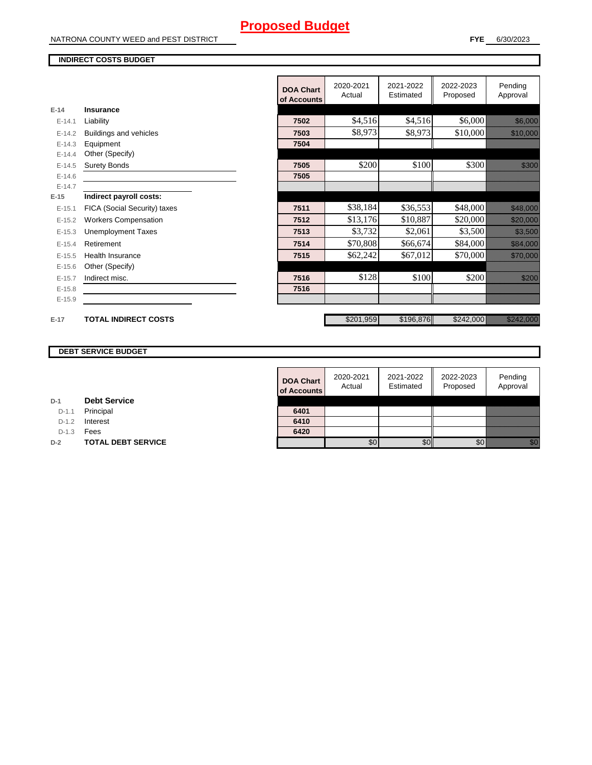NATRONA COUNTY WEED and PEST DISTRICT

#### **INDIRECT COSTS BUDGET**

|            |                              | <b>DOA Chart</b><br>of Accounts | 2020-2021<br>Actual | 2021-2022<br>Estimated | 2022-2023<br>Proposed | Pending<br>Approval       |
|------------|------------------------------|---------------------------------|---------------------|------------------------|-----------------------|---------------------------|
| $E-14$     | Insurance                    |                                 |                     |                        |                       |                           |
| $E - 14.1$ | Liability                    | 7502                            | \$4,516             | \$4,516                | \$6,000               | <u> Kabupatèn Ba</u>      |
| $E-14.2$   | Buildings and vehicles       | 7503                            | \$8,973             | \$8,973                | \$10,000              | <u> Hallen (</u>          |
| $E-14.3$   | Equipment                    | 7504                            |                     |                        |                       |                           |
| $E-14.4$   | Other (Specify)              |                                 |                     |                        |                       |                           |
| $E-14.5$   | <b>Surety Bonds</b>          | 7505                            | \$200               | \$100                  | \$300                 | <u>till fra</u>           |
| $E-14.6$   |                              | 7505                            |                     |                        |                       |                           |
| $E-14.7$   |                              |                                 |                     |                        |                       |                           |
| $E-15$     | Indirect payroll costs:      |                                 |                     |                        |                       |                           |
| $E-15.1$   | FICA (Social Security) taxes | 7511                            | \$38,184            | \$36,553               | \$48,000              | <u> Hardweining</u>       |
| $E-15.2$   | <b>Workers Compensation</b>  | 7512                            | \$13,176            | \$10,887               | \$20,000              | <u>ta alikuwa m</u>       |
| $E-15.3$   | <b>Unemployment Taxes</b>    | 7513                            | \$3,732             | \$2,061                | \$3,500               | <u> Hillian Sa</u>        |
| $E-15.4$   | Retirement                   | 7514                            | \$70,808            | \$66,674               | \$84,000              | <u> Karl Maria Sa</u>     |
| $E-15.5$   | <b>Health Insurance</b>      | 7515                            | \$62,242            | \$67,012               | \$70,000              | <u> Hillian San Sa</u>    |
| $E-15.6$   | Other (Specify)              |                                 |                     |                        |                       |                           |
| $E-15.7$   | Indirect misc.               | 7516                            | \$128               | \$100                  | \$200                 | <u>till andra</u>         |
| $E-15.8$   |                              | 7516                            |                     |                        |                       |                           |
| $E-15.9$   |                              |                                 |                     |                        |                       |                           |
|            |                              |                                 |                     |                        |                       |                           |
| $E-17$     | <b>TOTAL INDIRECT COSTS</b>  |                                 | \$201,959           | \$196,876              | \$242,000             | <u>izili kultura za k</u> |

#### **DEBT SERVICE BUDGET**

| $D-1$ | <b>Debt Service</b> |
|-------|---------------------|
|       |                     |

D-1.1 **Principal** 

D-1.2 **Interest** 

D-1.3 **Fees** 

**D-2 TOTAL DEBT SERVICE** 

| <b>DOA Chart</b><br>of Accounts | 2020-2021<br>Actual | 2021-2022<br>Estimated | 2022-2023<br>Proposed | Pending<br>Approval |
|---------------------------------|---------------------|------------------------|-----------------------|---------------------|
|                                 |                     |                        |                       |                     |
| 6401                            |                     |                        |                       |                     |
| 6410                            |                     |                        |                       |                     |
| 6420                            |                     |                        |                       |                     |
|                                 |                     |                        |                       |                     |